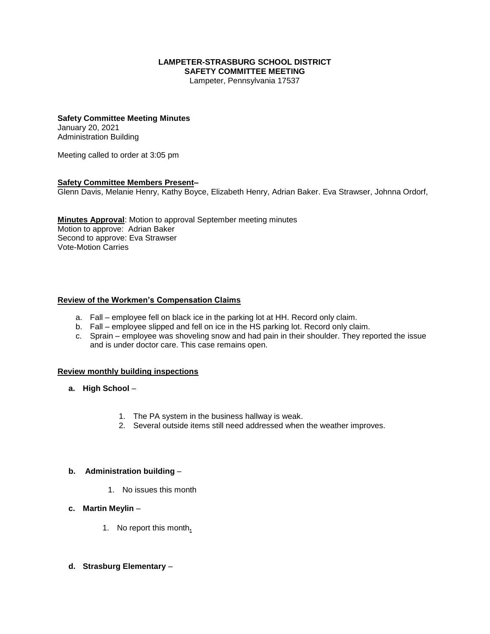#### **LAMPETER-STRASBURG SCHOOL DISTRICT SAFETY COMMITTEE MEETING**

Lampeter, Pennsylvania 17537

# **Safety Committee Meeting Minutes**

January 20, 2021 Administration Building

Meeting called to order at 3:05 pm

### **Safety Committee Members Present–**

Glenn Davis, Melanie Henry, Kathy Boyce, Elizabeth Henry, Adrian Baker. Eva Strawser, Johnna Ordorf,

**Minutes Approval**: Motion to approval September meeting minutes Motion to approve: Adrian Baker Second to approve: Eva Strawser Vote-Motion Carries

### **Review of the Workmen's Compensation Claims**

- a. Fall employee fell on black ice in the parking lot at HH. Record only claim.
- b. Fall employee slipped and fell on ice in the HS parking lot. Record only claim.
- c. Sprain employee was shoveling snow and had pain in their shoulder. They reported the issue and is under doctor care. This case remains open.

#### **Review monthly building inspections**

- **a. High School**
	- 1. The PA system in the business hallway is weak.
	- 2. Several outside items still need addressed when the weather improves.

#### **b. Administration building** –

- 1. No issues this month
- **c. Martin Meylin**
	- 1. No report this month**.**
- **d. Strasburg Elementary** –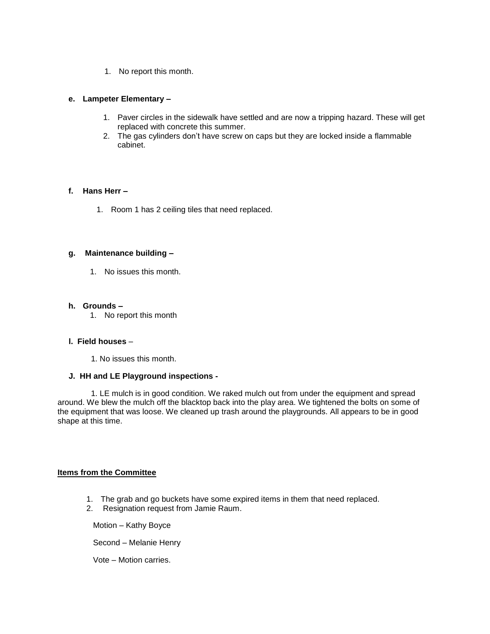1. No report this month.

#### **e. Lampeter Elementary –**

- 1. Paver circles in the sidewalk have settled and are now a tripping hazard. These will get replaced with concrete this summer.
- 2. The gas cylinders don't have screw on caps but they are locked inside a flammable cabinet.

#### **f. Hans Herr –**

1. Room 1 has 2 ceiling tiles that need replaced.

#### **g. Maintenance building –**

1. No issues this month.

#### **h. Grounds –**

1. No report this month

### **l. Field houses** –

1. No issues this month.

## **J. HH and LE Playground inspections -**

 1. LE mulch is in good condition. We raked mulch out from under the equipment and spread around. We blew the mulch off the blacktop back into the play area. We tightened the bolts on some of the equipment that was loose. We cleaned up trash around the playgrounds. All appears to be in good shape at this time.

### **Items from the Committee**

- 1. The grab and go buckets have some expired items in them that need replaced.
- 2. Resignation request from Jamie Raum.

Motion – Kathy Boyce

Second – Melanie Henry

Vote – Motion carries.